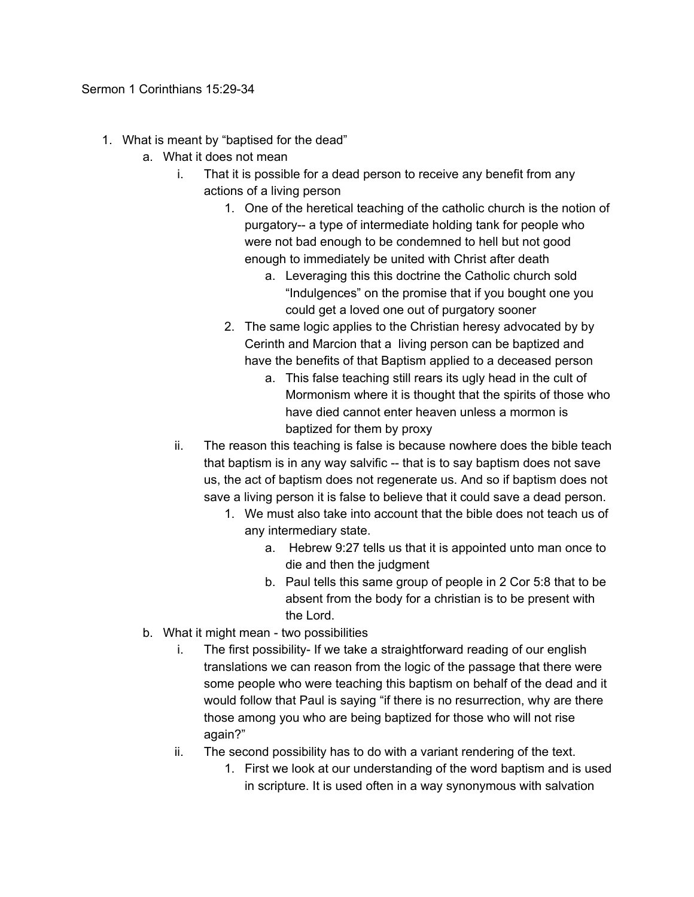- 1. What is meant by "baptised for the dead"
	- a. What it does not mean
		- i. That it is possible for a dead person to receive any benefit from any actions of a living person
			- 1. One of the heretical teaching of the catholic church is the notion of purgatory-- a type of intermediate holding tank for people who were not bad enough to be condemned to hell but not good enough to immediately be united with Christ after death
				- a. Leveraging this this doctrine the Catholic church sold "Indulgences" on the promise that if you bought one you could get a loved one out of purgatory sooner
			- 2. The same logic applies to the Christian heresy advocated by by Cerinth and Marcion that a living person can be baptized and have the benefits of that Baptism applied to a deceased person
				- a. This false teaching still rears its ugly head in the cult of Mormonism where it is thought that the spirits of those who have died cannot enter heaven unless a mormon is baptized for them by proxy
		- ii. The reason this teaching is false is because nowhere does the bible teach that baptism is in any way salvific -- that is to say baptism does not save us, the act of baptism does not regenerate us. And so if baptism does not save a living person it is false to believe that it could save a dead person.
			- 1. We must also take into account that the bible does not teach us of any intermediary state.
				- a. Hebrew 9:27 tells us that it is appointed unto man once to die and then the judgment
				- b. Paul tells this same group of people in 2 Cor 5:8 that to be absent from the body for a christian is to be present with the Lord.
	- b. What it might mean two possibilities
		- i. The first possibility- If we take a straightforward reading of our english translations we can reason from the logic of the passage that there were some people who were teaching this baptism on behalf of the dead and it would follow that Paul is saying "if there is no resurrection, why are there those among you who are being baptized for those who will not rise again?"
		- ii. The second possibility has to do with a variant rendering of the text.
			- 1. First we look at our understanding of the word baptism and is used in scripture. It is used often in a way synonymous with salvation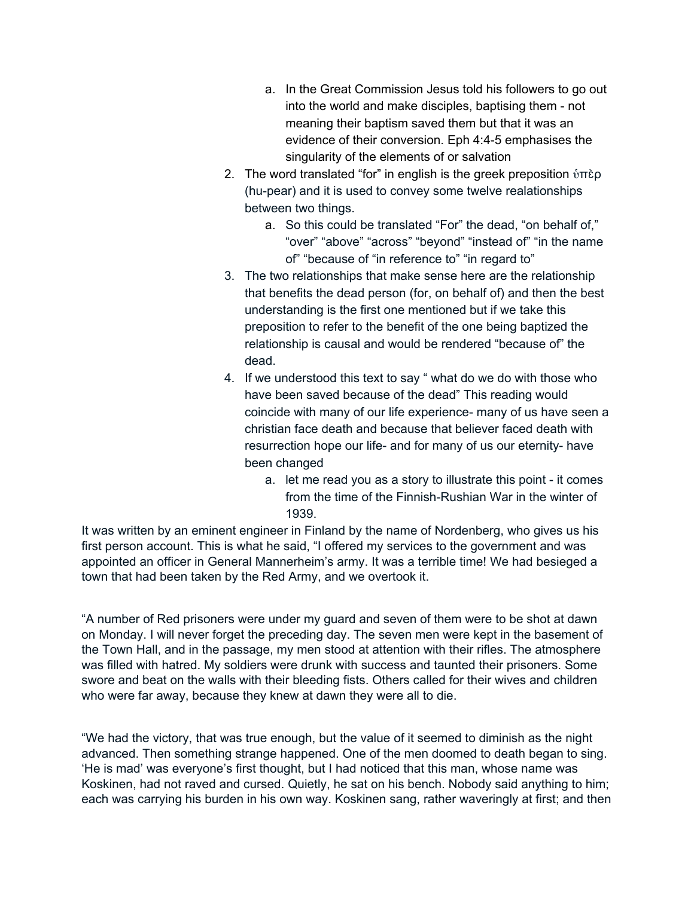- a. In the Great Commission Jesus told his followers to go out into the world and make disciples, baptising them - not meaning their baptism saved them but that it was an evidence of their conversion. Eph 4:4-5 emphasises the singularity of the elements of or salvation
- 2. The word translated "for" in english is the greek preposition  $\hat{v}$ περ (hu-pear) and it is used to convey some twelve realationships between two things.
	- a. So this could be translated "For" the dead, "on behalf of," "over" "above" "across" "beyond" "instead of" "in the name of" "because of "in reference to" "in regard to"
- 3. The two relationships that make sense here are the relationship that benefits the dead person (for, on behalf of) and then the best understanding is the first one mentioned but if we take this preposition to refer to the benefit of the one being baptized the relationship is causal and would be rendered "because of" the dead.
- 4. If we understood this text to say " what do we do with those who have been saved because of the dead" This reading would coincide with many of our life experience- many of us have seen a christian face death and because that believer faced death with resurrection hope our life- and for many of us our eternity- have been changed
	- a. let me read you as a story to illustrate this point it comes from the time of the Finnish-Rushian War in the winter of 1939.

It was written by an eminent engineer in Finland by the name of Nordenberg, who gives us his first person account. This is what he said, "I offered my services to the government and was appointed an officer in General Mannerheim's army. It was a terrible time! We had besieged a town that had been taken by the Red Army, and we overtook it.

"A number of Red prisoners were under my guard and seven of them were to be shot at dawn on Monday. I will never forget the preceding day. The seven men were kept in the basement of the Town Hall, and in the passage, my men stood at attention with their rifles. The atmosphere was filled with hatred. My soldiers were drunk with success and taunted their prisoners. Some swore and beat on the walls with their bleeding fists. Others called for their wives and children who were far away, because they knew at dawn they were all to die.

"We had the victory, that was true enough, but the value of it seemed to diminish as the night advanced. Then something strange happened. One of the men doomed to death began to sing. 'He is mad' was everyone's first thought, but I had noticed that this man, whose name was Koskinen, had not raved and cursed. Quietly, he sat on his bench. Nobody said anything to him; each was carrying his burden in his own way. Koskinen sang, rather waveringly at first; and then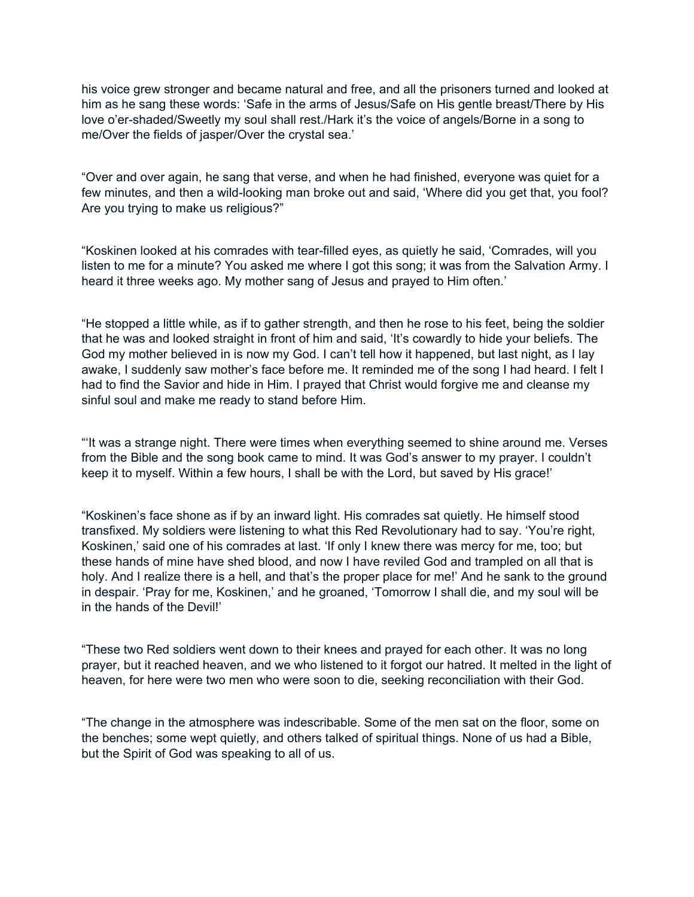his voice grew stronger and became natural and free, and all the prisoners turned and looked at him as he sang these words: 'Safe in the arms of Jesus/Safe on His gentle breast/There by His love o'er-shaded/Sweetly my soul shall rest./Hark it's the voice of angels/Borne in a song to me/Over the fields of jasper/Over the crystal sea.'

"Over and over again, he sang that verse, and when he had finished, everyone was quiet for a few minutes, and then a wild-looking man broke out and said, 'Where did you get that, you fool? Are you trying to make us religious?"

"Koskinen looked at his comrades with tear-filled eyes, as quietly he said, 'Comrades, will you listen to me for a minute? You asked me where I got this song; it was from the Salvation Army. I heard it three weeks ago. My mother sang of Jesus and prayed to Him often.'

"He stopped a little while, as if to gather strength, and then he rose to his feet, being the soldier that he was and looked straight in front of him and said, 'It's cowardly to hide your beliefs. The God my mother believed in is now my God. I can't tell how it happened, but last night, as I lay awake, I suddenly saw mother's face before me. It reminded me of the song I had heard. I felt I had to find the Savior and hide in Him. I prayed that Christ would forgive me and cleanse my sinful soul and make me ready to stand before Him.

"'It was a strange night. There were times when everything seemed to shine around me. Verses from the Bible and the song book came to mind. It was God's answer to my prayer. I couldn't keep it to myself. Within a few hours, I shall be with the Lord, but saved by His grace!'

"Koskinen's face shone as if by an inward light. His comrades sat quietly. He himself stood transfixed. My soldiers were listening to what this Red Revolutionary had to say. 'You're right, Koskinen,' said one of his comrades at last. 'If only I knew there was mercy for me, too; but these hands of mine have shed blood, and now I have reviled God and trampled on all that is holy. And I realize there is a hell, and that's the proper place for me!' And he sank to the ground in despair. 'Pray for me, Koskinen,' and he groaned, 'Tomorrow I shall die, and my soul will be in the hands of the Devil!'

"These two Red soldiers went down to their knees and prayed for each other. It was no long prayer, but it reached heaven, and we who listened to it forgot our hatred. It melted in the light of heaven, for here were two men who were soon to die, seeking reconciliation with their God.

"The change in the atmosphere was indescribable. Some of the men sat on the floor, some on the benches; some wept quietly, and others talked of spiritual things. None of us had a Bible, but the Spirit of God was speaking to all of us.